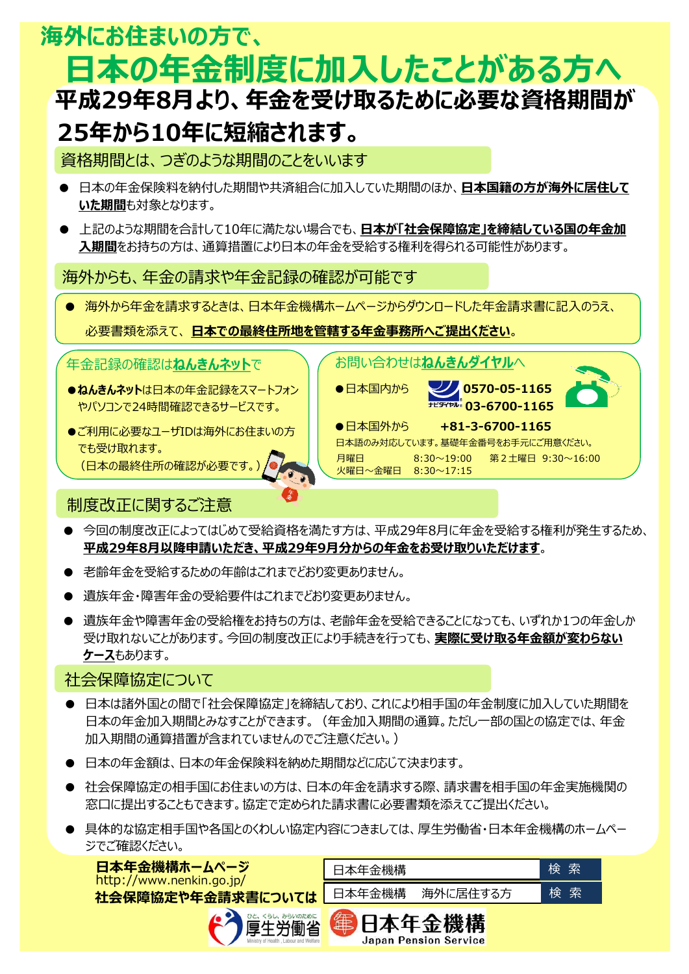# **平成29年8月より、年金を受け取るために必要な資格期間が 25年から10年に短縮されます。 海外にお住まいの方で、 日本の年金制度に加入したことがある方へ**

## 資格期間とは、つぎのような期間のことをいいます

- 日本の年金保険料を納付した期間や共済組合に加入していた期間のほか、**日本国籍の方が海外に居住して いた期間**も対象となります。
- **上記のような期間を合計して10年に満たない場合でも、日本が「社会保障協定」を締結している国の年金加 入期間**をお持ちの方は、通算措置により日本の年金を受給する権利を得られる可能性があります。

### 海外からも、年金の請求や年金記録の確認が可能です

● 海外から年金を請求するときは、日本年金機構ホームページからダウンロードした年金請求書に記入のうえ、

お問い合わせは**ねんきんダイヤル**へ

火曜日~金曜日 8:30~17:15

●日本国内から  **224 0570-05-1165** 

●日本国外から +81-3-6700-1165

日本語のみ対応しています。基礎年金番号をお手元にご用意ください。

月曜日 8:30~19:00 第2土曜日 9:30~16:00

**03-6700-1165**

#### 必要書類を添えて、 **日本での最終住所地を管轄する年金事務所へご提出ください**。

年金記録の確認は**ねんきんネット**で

- ●**ねんきんネット**は日本の年金記録をスマートフォン やパソコンで24時間確認できるサービスです。
- ●ご利用に必要なユーザIDは海外にお住まいの方 でも受け取れます。 (日本の最終住所の確認が必要です。)

## 制度改正に関するご注意

● 今回の制度改正によってはじめて受給資格を満たす方は、平成29年8月に年金を受給する権利が発生するため、 **平成29年8月以降申請いただき、平成29年9月分からの年金をお受け取りいただけます**。

J

 $\frac{4}{3}$ 

- 老齢年金を受給するための年齢はこれまでどおり変更ありません。
- 遺族年金・障害年金の受給要件はこれまでどおり変更ありません。
- 遺族年金や障害年金の受給権をお持ちの方は、老齢年金を受給できることになっても、いずれか1つの年金しか 受け取れないことがあります。今回の制度改正により手続きを行っても、**実際に受け取る年金額が変わらない ケース**もあります。

## 社会保障協定について

- **●** 日本は諸外国との間で「社会保障協定」を締結しており、これにより相手国の年金制度に加入していた期間を 日本の年金加入期間とみなすことができます。(年金加入期間の通算。ただし一部の国との協定では、年金 加入期間の通算措置が含まれていませんのでご注意ください。)
- 日本の年金額は、日本の年金保険料を納めた期間などに応じて決まります。
- 社会保障協定の相手国にお住まいの方は、日本の年金を請求する際、請求書を相手国の年金実施機関の 窓口に提出することもできます。協定で定められた請求書に必要書類を添えてご提出ください。
- 具体的な協定相手国や各国とのくわしい協定内容につきましては、厚生労働省・日本年金機構のホームペー ジでご確認ください。